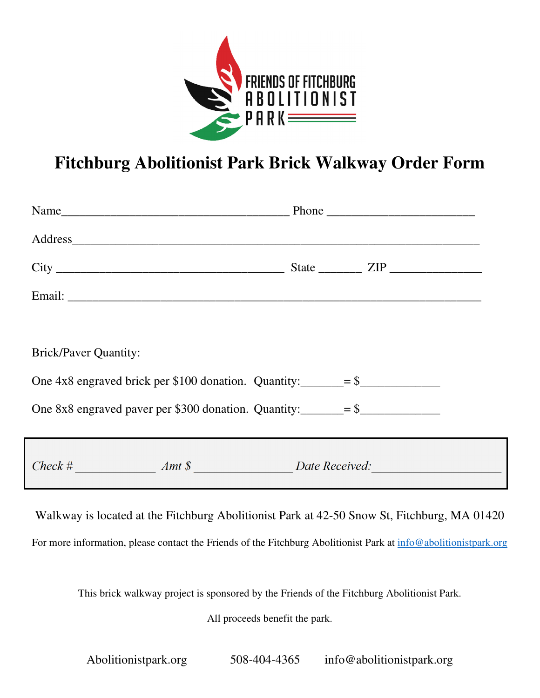

## **Fitchburg Abolitionist Park Brick Walkway Order Form**

| <b>Brick/Paver Quantity:</b>                                            |  |
|-------------------------------------------------------------------------|--|
| One 4x8 engraved brick per \$100 donation. Quantity: $\frac{1}{1}$ = \$ |  |
| One 8x8 engraved paver per \$300 donation. Quantity: $=$ \$             |  |
| Check # Amt \$ Date Received:                                           |  |

Walkway is located at the Fitchburg Abolitionist Park at 42-50 Snow St, Fitchburg, MA 01420

For more information, please contact the Friends of the Fitchburg Abolitionist Park at info@abolitionistpark.org

This brick walkway project is sponsored by the Friends of the Fitchburg Abolitionist Park.

All proceeds benefit the park.

Abolitionistpark.org 508-404-4365 info@abolitionistpark.org